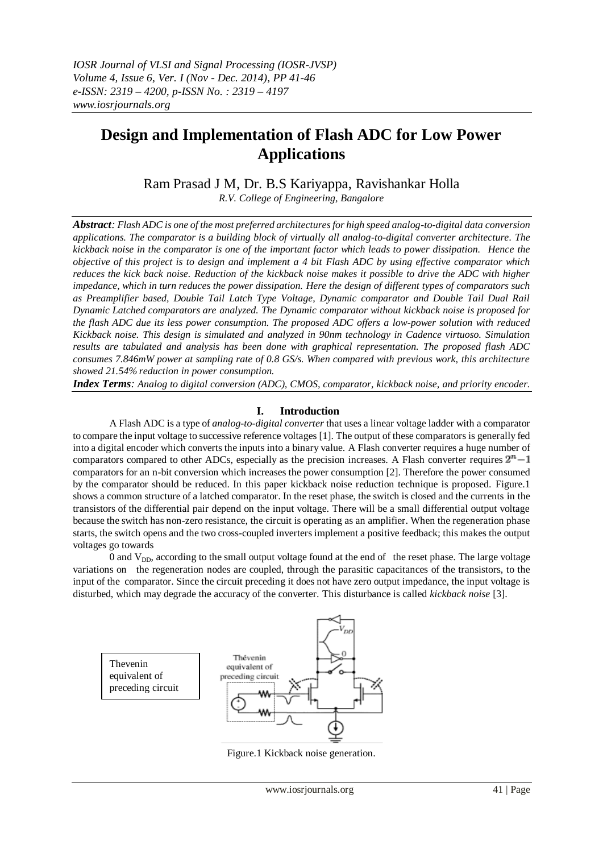# **Design and Implementation of Flash ADC for Low Power Applications**

Ram Prasad J M, Dr. B.S Kariyappa, Ravishankar Holla

*R.V. College of Engineering, Bangalore*

*Abstract: Flash ADC is one of the most preferred architectures for high speed analog-to-digital data conversion applications. The comparator is a building block of virtually all analog-to-digital converter architecture. The kickback noise in the comparator is one of the important factor which leads to power dissipation. Hence the objective of this project is to design and implement a 4 bit Flash ADC by using effective comparator which reduces the kick back noise. Reduction of the kickback noise makes it possible to drive the ADC with higher impedance, which in turn reduces the power dissipation. Here the design of different types of comparators such as Preamplifier based, Double Tail Latch Type Voltage, Dynamic comparator and Double Tail Dual Rail Dynamic Latched comparators are analyzed. The Dynamic comparator without kickback noise is proposed for the flash ADC due its less power consumption. The proposed ADC offers a low-power solution with reduced Kickback noise. This design is simulated and analyzed in 90nm technology in Cadence virtuoso. Simulation results are tabulated and analysis has been done with graphical representation. The proposed flash ADC consumes 7.846mW power at sampling rate of 0.8 GS/s. When compared with previous work, this architecture showed 21.54% reduction in power consumption.*

*Index Terms: Analog to digital conversion (ADC), CMOS, comparator, kickback noise, and priority encoder.*

## **I. Introduction**

A Flash ADC is a type of *[analog-to-digital converter](http://en.wikipedia.org/wiki/Analog-to-digital_converter)* that uses a linea[r voltage ladder](http://en.wikipedia.org/wiki/Voltage_ladder) with [a comparator](http://en.wikipedia.org/wiki/Comparator) to compare the input voltage to successive reference voltages [1]. The output of these comparators is generally fed into a digital encoder which converts the inputs into a binary value. A Flash converter requires a huge number of [comparators](http://en.wikipedia.org/wiki/Comparator) compared to other ADCs, especially as the precision increases. A Flash converter requires  $2<sup>n</sup> - 1$ comparators for an n-bit conversion which increases the power consumption [2]. Therefore the power consumed by the comparator should be reduced. In this paper kickback noise reduction technique is proposed. Figure.1 shows a common structure of a latched comparator. In the reset phase, the switch is closed and the currents in the transistors of the differential pair depend on the input voltage. There will be a small differential output voltage because the switch has non-zero resistance, the circuit is operating as an amplifier. When the regeneration phase starts, the switch opens and the two cross-coupled inverters implement a positive feedback; this makes the output voltages go towards

0 and  $V_{DD}$ , according to the small output voltage found at the end of the reset phase. The large voltage variations on the regeneration nodes are coupled, through the parasitic capacitances of the transistors, to the input of the comparator. Since the circuit preceding it does not have zero output impedance, the input voltage is disturbed, which may degrade the accuracy of the converter. This disturbance is called *kickback noise* [3].



Figure.1 Kickback noise generation.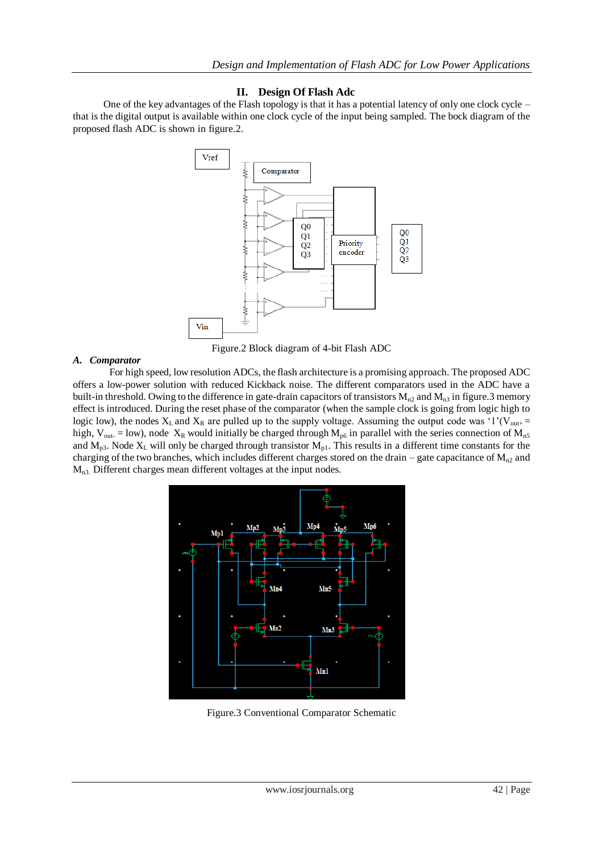## **II. Design Of Flash Adc**

One of the key advantages of the Flash topology is that it has a potential latency of only one clock cycle – that is the digital output is available within one clock cycle of the input being sampled. The bock diagram of the proposed flash ADC is shown in figure.2.



Figure.2 Block diagram of 4-bit Flash ADC

#### *A. Comparator*

For high speed, low resolution ADCs, the flash architecture is a promising approach. The proposed ADC offers a low-power solution with reduced Kickback noise. The different comparators used in the ADC have a built-in threshold. Owing to the difference in gate-drain capacitors of transistors  $M_{n2}$  and  $M_{n3}$  in figure. 3 memory effect is introduced. During the reset phase of the comparator (when the sample clock is going from logic high to logic low), the nodes  $X_L$  and  $X_R$  are pulled up to the supply voltage. Assuming the output code was '1'(V<sub>out+</sub> = high, V<sub>out-</sub> = low), node X<sub>R</sub> would initially be charged through M<sub>p6</sub> in parallel with the series connection of M<sub>n5</sub> and  $M_{p3}$ . Node  $X_L$  will only be charged through transistor  $M_{p1}$ . This results in a different time constants for the charging of the two branches, which includes different charges stored on the drain – gate capacitance of  $M_{n2}$  and Mn3. Different charges mean different voltages at the input nodes.



Figure.3 Conventional Comparator Schematic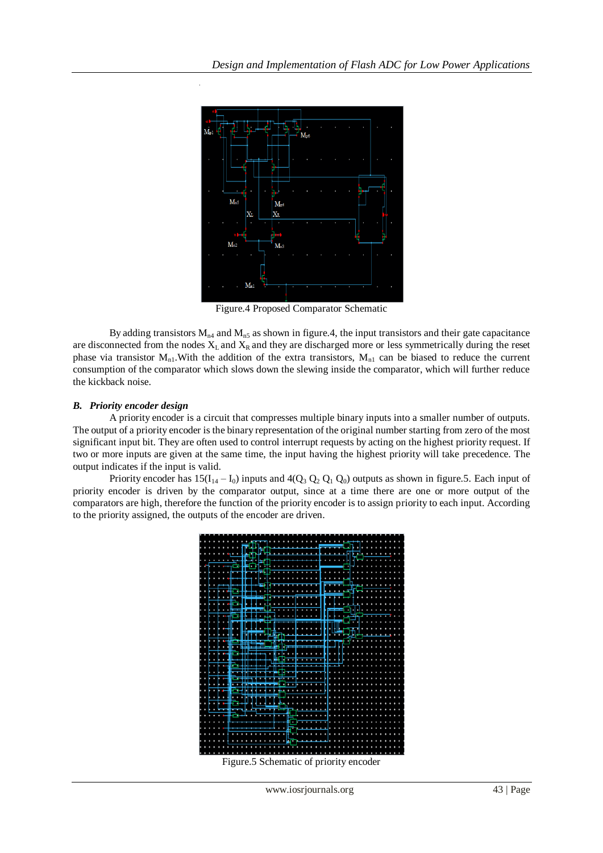

Figure.4 Proposed Comparator Schematic

By adding transistors  $M_{n4}$  and  $M_{n5}$  as shown in figure.4, the input transistors and their gate capacitance are disconnected from the nodes  $X_L$  and  $X_R$  and they are discharged more or less symmetrically during the reset phase via transistor  $M_{n1}$ . With the addition of the extra transistors,  $M_{n1}$  can be biased to reduce the current consumption of the comparator which slows down the slewing inside the comparator, which will further reduce the kickback noise.

## *B. Priority encoder design*

A priority encoder is a [circuit](http://en.wikipedia.org/wiki/Electronic_circuit) that compresses multiple [binary](http://en.wikipedia.org/wiki/Binary_code) inputs into a smaller number of outputs. The output of a priority encoder is the binary representation of the original number starting from zero of the most significant input bit. They are often used to contro[l interrupt requests](http://en.wikipedia.org/wiki/Interrupt_request) by acting on the highest priority request. If two or more inputs are given at the same time, the input having the highest priority will take [precedence.](http://en.wiktionary.org/wiki/precedence) The output indicates if the input is valid.

Priority encoder has  $15(I_{14} - I_0)$  inputs and  $4(Q_3 Q_2 Q_1 Q_0)$  outputs as shown in figure.5. Each input of priority encoder is driven by the comparator output, since at a time there are one or more output of the comparators are high, therefore the function of the priority encoder is to assign priority to each input. According to the priority assigned, the outputs of the encoder are driven.

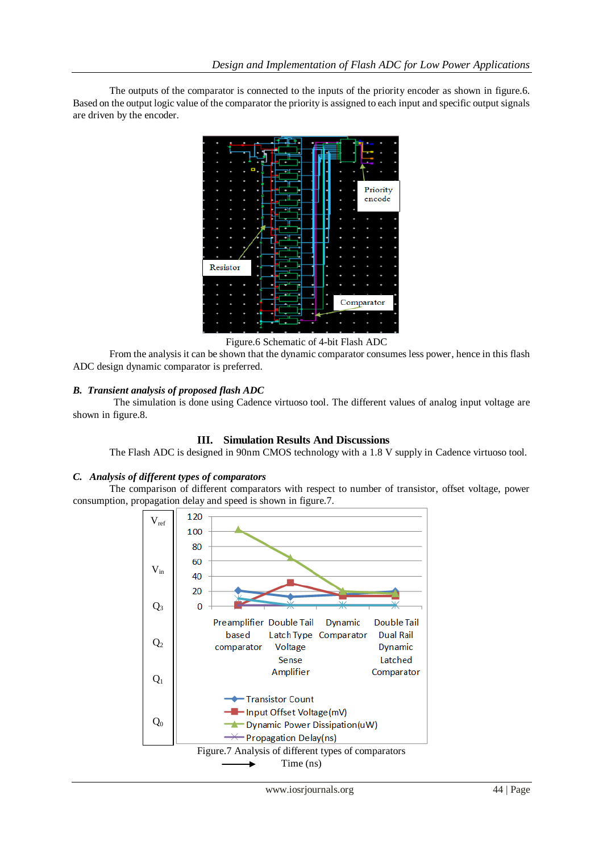The outputs of the comparator is connected to the inputs of the priority encoder as shown in figure.6. Based on the output logic value of the comparator the priority is assigned to each input and specific output signals are driven by the encoder.



Figure.6 Schematic of 4-bit Flash ADC

From the analysis it can be shown that the dynamic comparator consumes less power, hence in this flash ADC design dynamic comparator is preferred.

## *B. Transient analysis of proposed flash ADC*

The simulation is done using Cadence virtuoso tool. The different values of analog input voltage are shown in figure.8.

## **III. Simulation Results And Discussions**

The Flash ADC is designed in 90nm CMOS technology with a 1.8 V supply in Cadence virtuoso tool.

## *C. Analysis of different types of comparators*

The comparison of different comparators with respect to number of transistor, offset voltage, power consumption, propagation delay and speed is shown in figure.7.

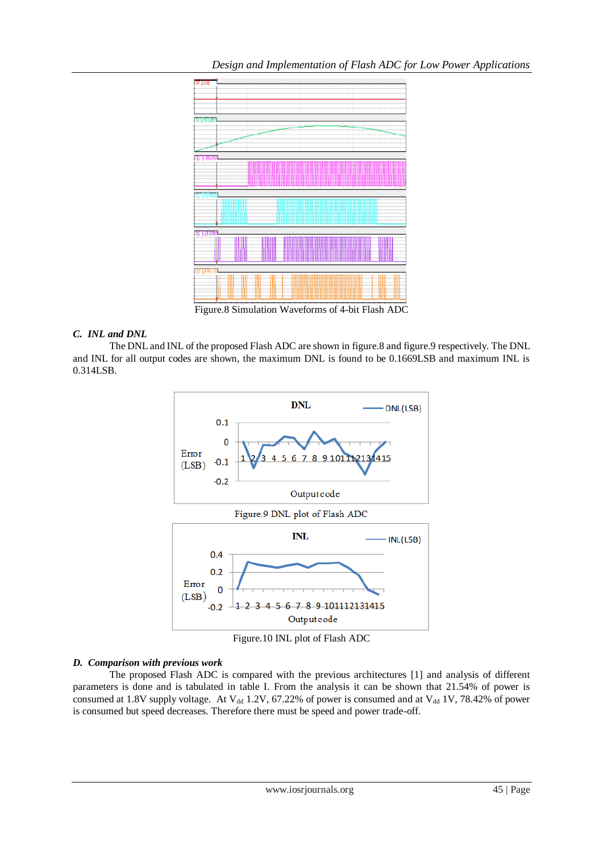

Figure.8 Simulation Waveforms of 4-bit Flash ADC

## *C. INL and DNL*

The DNL and INL of the proposed Flash ADC are shown in figure.8 and figure.9 respectively. The DNL and INL for all output codes are shown, the maximum DNL is found to be 0.1669LSB and maximum INL is 0.314LSB.



Figure.10 INL plot of Flash ADC

## *D. Comparison with previous work*

The proposed Flash ADC is compared with the previous architectures [1] and analysis of different parameters is done and is tabulated in table I. From the analysis it can be shown that 21.54% of power is consumed at 1.8V supply voltage. At  $V_{dd}$  1.2V, 67.22% of power is consumed and at  $V_{dd}$  1V, 78.42% of power is consumed but speed decreases. Therefore there must be speed and power trade-off.